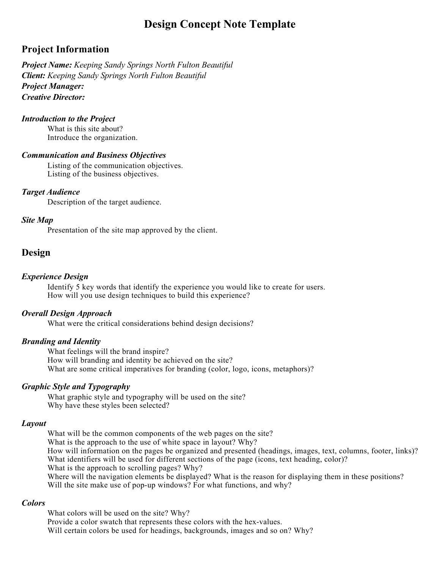# **Design Concept Note Template**

# **Project Information**

*Project Name: Keeping Sandy Springs North Fulton Beautiful Client: Keeping Sandy Springs North Fulton Beautiful Project Manager: Creative Director:* 

#### *Introduction to the Project*

What is this site about? Introduce the organization.

#### *Communication and Business Objectives*

Listing of the communication objectives. Listing of the business objectives.

#### *Target Audience*

Description of the target audience.

#### *Site Map*

Presentation of the site map approved by the client.

### **Design**

#### *Experience Design*

Identify 5 key words that identify the experience you would like to create for users. How will you use design techniques to build this experience?

#### *Overall Design Approach*

What were the critical considerations behind design decisions?

#### *Branding and Identity*

What feelings will the brand inspire? How will branding and identity be achieved on the site? What are some critical imperatives for branding (color, logo, icons, metaphors)?

#### *Graphic Style and Typography*

What graphic style and typography will be used on the site? Why have these styles been selected?

#### *Layout*

What will be the common components of the web pages on the site? What is the approach to the use of white space in layout? Why? How will information on the pages be organized and presented (headings, images, text, columns, footer, links)? What identifiers will be used for different sections of the page (icons, text heading, color)? What is the approach to scrolling pages? Why?

Where will the navigation elements be displayed? What is the reason for displaying them in these positions? Will the site make use of pop-up windows? For what functions, and why?

#### *Colors*

What colors will be used on the site? Why? Provide a color swatch that represents these colors with the hex-values. Will certain colors be used for headings, backgrounds, images and so on? Why?